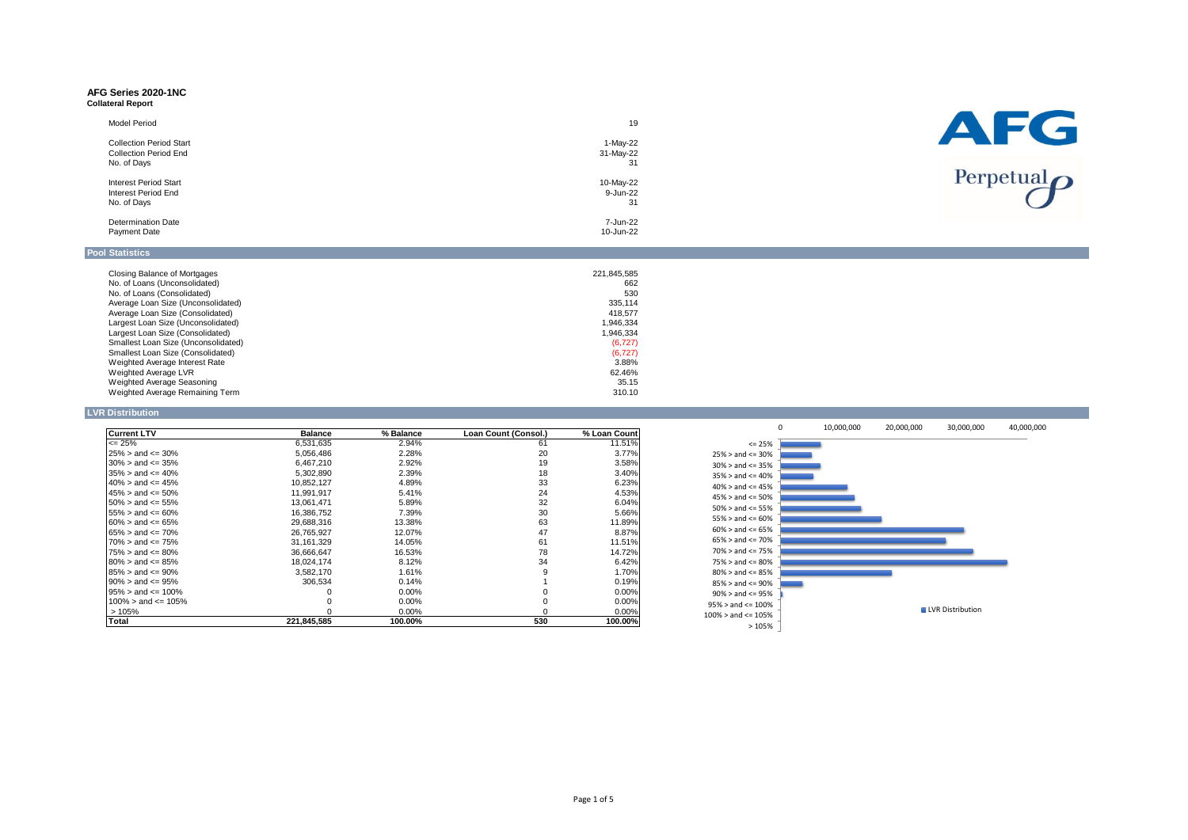### **AFG Series 2020-1NC Collateral Report**

| .u.u. u.u.                     |           |  |
|--------------------------------|-----------|--|
| Model Period                   | 19        |  |
| <b>Collection Period Start</b> | 1-May-22  |  |
| <b>Collection Period End</b>   | 31-May-22 |  |
| No. of Days                    | 31        |  |
| <b>Interest Period Start</b>   | 10-May-22 |  |
| Interest Period End            | 9-Jun-22  |  |
|                                |           |  |



# **Pool Statistics**

| Closing Balance of Mortgages        | 221,845,585 |
|-------------------------------------|-------------|
| No. of Loans (Unconsolidated)       | 662         |
| No. of Loans (Consolidated)         | 530         |
| Average Loan Size (Unconsolidated)  | 335.114     |
| Average Loan Size (Consolidated)    | 418.577     |
| Largest Loan Size (Unconsolidated)  | 1.946.334   |
| Largest Loan Size (Consolidated)    | 1.946.334   |
| Smallest Loan Size (Unconsolidated) | (6, 727)    |
| Smallest Loan Size (Consolidated)   | (6, 727)    |
| Weighted Average Interest Rate      | 3.88%       |
| Weighted Average LVR                | 62.46%      |
| Weighted Average Seasoning          | 35.15       |
| Weighted Average Remaining Term     | 310.10      |

No. of Days 31 Determination Date 7-Jun-22 Payment Date 10-Jun-22

### **LVR Distribution**

| <b>Current LTV</b>         | <b>Balance</b> | % Balance | Loan Count (Consol.) | % Loan Count |
|----------------------------|----------------|-----------|----------------------|--------------|
| $\leq$ 25%                 | 6,531,635      | 2.94%     | 61                   | 11.51%       |
| $25\% >$ and $\leq 30\%$   | 5,056,486      | 2.28%     | 20                   | 3.77%        |
| $30\% >$ and $\leq$ $35\%$ | 6.467.210      | 2.92%     | 19                   | 3.58%        |
| $35\% >$ and $\leq 40\%$   | 5.302.890      | 2.39%     | 18                   | $3.40\%$     |
| $40\% >$ and $\leq 45\%$   | 10.852.127     | 4.89%     | 33                   | 6.23%        |
| $45\% >$ and $\leq 50\%$   | 11.991.917     | 5.41%     | 24                   | 4.53%        |
| $50\%$ > and <= 55%        | 13.061.471     | 5.89%     | 32                   | 6.04%        |
| $55\% >$ and $\leq 60\%$   | 16,386,752     | 7.39%     | 30                   | 5.66%        |
| $60\% >$ and $\leq 65\%$   | 29.688.316     | 13.38%    | 63                   | 11.89%       |
| $65\% >$ and $\leq 70\%$   | 26.765.927     | 12.07%    | 47                   | 8.87%        |
| $70\%$ > and <= 75%        | 31.161.329     | 14.05%    | 61                   | 11.51%       |
| $75\% >$ and $\leq 80\%$   | 36.666.647     | 16.53%    | 78                   | 14.72%       |
| $80\% >$ and $\leq 85\%$   | 18.024.174     | 8.12%     | 34                   | 6.42%        |
| $85\% >$ and $\leq 90\%$   | 3,582,170      | 1.61%     | 9                    | 1.70%        |
| $90\% >$ and $\leq 95\%$   | 306.534        | 0.14%     |                      | 0.19%        |
| $95\% >$ and $\leq 100\%$  |                | 0.00%     |                      | $0.00\%$     |
| $100\%$ > and <= 105%      |                | $0.00\%$  |                      | $0.00\%$     |
| >105%                      |                | $0.00\%$  | $\Omega$             | $0.00\%$     |
| Total                      | 221.845.585    | 100.00%   | 530                  | 100.00%      |

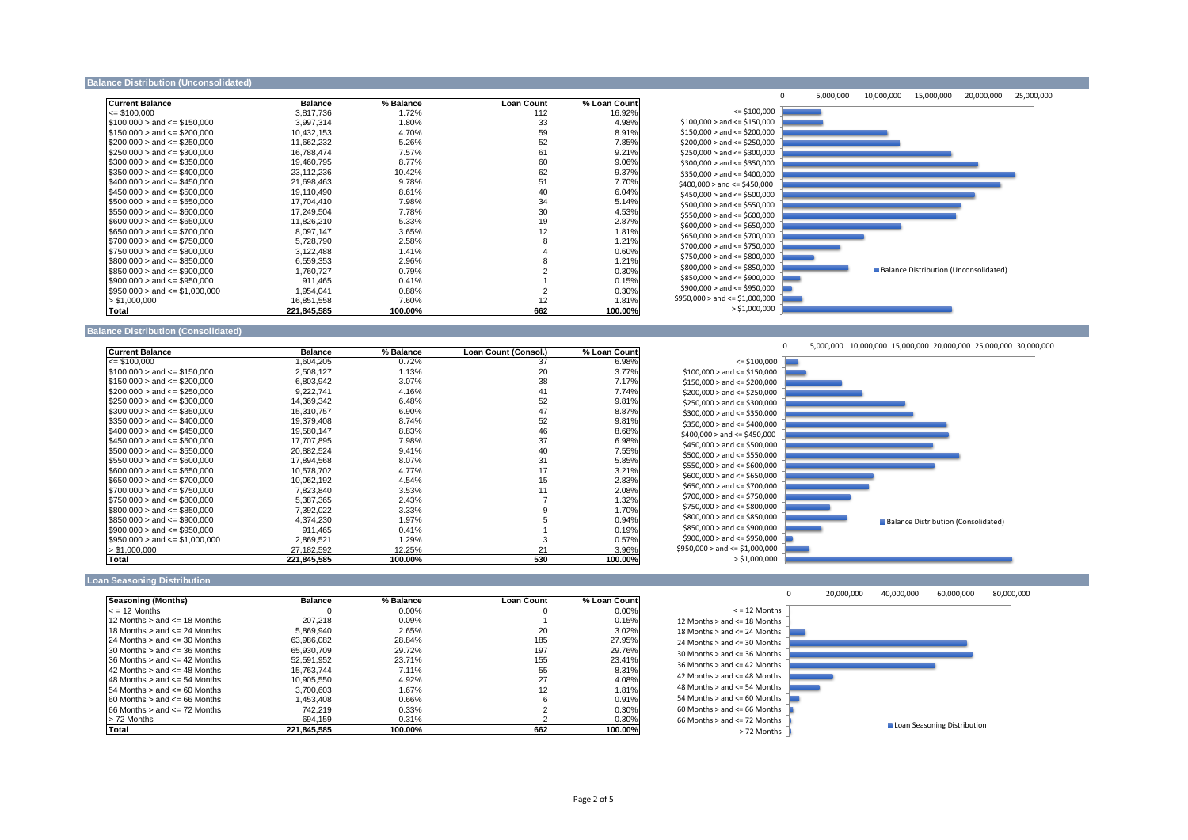### **Balance Distribution (Unconsolidated)**

| <b>Current Balance</b>             | <b>Balance</b> | % Balance | <b>Loan Count</b> | % Loan Count |
|------------------------------------|----------------|-----------|-------------------|--------------|
| $\leq$ \$100.000                   | 3.817.736      | 1.72%     | 112               | 16.92%       |
| $$100,000 >$ and $\leq$ \$150,000  | 3,997,314      | 1.80%     | 33                | 4.98%        |
| $$150.000 >$ and $\leq$ \$200.000  | 10.432.153     | 4.70%     | 59                | 8.91%        |
| $$200,000 >$ and $\leq$ \$250,000  | 11,662,232     | 5.26%     | 52                | 7.85%        |
| $$250,000 >$ and $\leq$ \$300,000  | 16,788,474     | 7.57%     | 61                | 9.21%        |
| $$300,000 >$ and $\leq$ \$350,000  | 19,460,795     | 8.77%     | 60                | 9.06%        |
| $$350,000 >$ and $\leq 400,000$    | 23,112,236     | 10.42%    | 62                | 9.37%        |
| $$400.000 >$ and $\leq$ \$450.000  | 21.698.463     | 9.78%     | 51                | 7.70%        |
| $$450,000 >$ and $\leq$ \$500,000  | 19.110.490     | 8.61%     | 40                | 6.04%        |
| $$500.000 >$ and $\leq$ \$550.000  | 17.704.410     | 7.98%     | 34                | 5.14%        |
| $$550,000 >$ and $\leq 0.000$      | 17.249.504     | 7.78%     | 30                | 4.53%        |
| $$600,000 >$ and $\leq$ \$650,000  | 11,826,210     | 5.33%     | 19                | 2.87%        |
| $$650.000 >$ and $\leq$ \$700.000  | 8.097.147      | 3.65%     | 12                | 1.81%        |
| $$700,000 >$ and $\leq$ \$750,000  | 5.728.790      | 2.58%     | 8                 | 1.21%        |
| $$750,000 >$ and $\leq$ \$800,000  | 3.122.488      | 1.41%     | 4                 | 0.60%        |
| $$800.000 >$ and $\leq$ \$850.000  | 6.559.353      | 2.96%     | 8                 | 1.21%        |
| $$850,000 >$ and $\leq$ \$900,000  | 1,760,727      | 0.79%     | 2                 | 0.30%        |
| $$900.000 >$ and $\leq 250.000$    | 911.465        | 0.41%     |                   | 0.15%        |
| $$950,000 >$ and $\leq $1,000,000$ | 1.954.041      | 0.88%     | $\overline{2}$    | 0.30%        |
| > \$1,000,000                      | 16,851,558     | 7.60%     | 12                | 1.81%        |
| Total                              | 221.845.585    | 100.00%   | 662               | 100.00%      |



### **Balance Distribution (Consolidated)**

| <b>Current Balance</b>            | <b>Balance</b> | % Balance | Loan Count (Consol.) | % Loan Count |
|-----------------------------------|----------------|-----------|----------------------|--------------|
| $\leq$ \$100.000                  | 1.604.205      | 0.72%     | 37                   | 6.98%        |
| $$100,000 >$ and $\leq$ \$150,000 | 2,508,127      | 1.13%     | 20                   | 3.77%        |
| $$150.000 >$ and $\leq$ \$200.000 | 6.803.942      | 3.07%     | 38                   | 7.17%        |
| $$200.000 >$ and $\leq$ \$250.000 | 9,222,741      | 4.16%     | 41                   | 7.74%        |
| $$250,000 >$ and $\leq$ \$300,000 | 14,369,342     | 6.48%     | 52                   | 9.81%        |
| $$300.000 >$ and $\leq$ \$350.000 | 15.310.757     | 6.90%     | 47                   | 8.87%        |
| $$350,000 >$ and $\leq$ \$400,000 | 19,379,408     | 8.74%     | 52                   | 9.81%        |
| $$400.000 >$ and $\leq$ \$450.000 | 19.580.147     | 8.83%     | 46                   | 8.68%        |
| $$450,000 >$ and $\leq 1500,000$  | 17.707.895     | 7.98%     | 37                   | 6.98%        |
| $$500,000 >$ and $\leq 1550,000$  | 20,882,524     | 9.41%     | 40                   | 7.55%        |
| $$550.000 >$ and $\leq$ \$600.000 | 17.894.568     | 8.07%     | 31                   | 5.85%        |
| $$600.000 >$ and $\leq$ \$650.000 | 10.578.702     | 4.77%     | 17                   | 3.21%        |
| $$650,000 >$ and $\leq$ \$700,000 | 10,062,192     | 4.54%     | 15                   | 2.83%        |
| $$700.000 >$ and $\leq$ \$750.000 | 7.823.840      | 3.53%     | 11                   | 2.08%        |
| $$750.000 >$ and $\leq$ \$800.000 | 5.387.365      | 2.43%     |                      | 1.32%        |
| $$800,000 >$ and $\leq$ \$850,000 | 7,392,022      | 3.33%     | 9                    | 1.70%        |
| $$850.000 >$ and $\leq$ \$900.000 | 4.374.230      | 1.97%     | 5                    | 0.94%        |
| $$900.000 >$ and $\leq$ \$950.000 | 911.465        | 0.41%     |                      | 0.19%        |
| $$950,000 >$ and $\leq 1,000,000$ | 2,869,521      | 1.29%     | 3                    | 0.57%        |
| > \$1.000.000                     | 27,182,592     | 12.25%    | 21                   | 3.96%        |
| Total                             | 221.845.585    | 100.00%   | 530                  | 100.00%      |



### **Loan Seasoning Distribution**

| Seasoning (Months)                   | <b>Balance</b> | % Balance | <b>Loan Count</b> | % Loan Count |
|--------------------------------------|----------------|-----------|-------------------|--------------|
| $\epsilon$ = 12 Months               |                | 0.00%     |                   | 0.00%        |
| 12 Months $>$ and $\leq$ 18 Months   | 207.218        | 0.09%     |                   | 0.15%        |
| 18 Months $>$ and $\leq$ 24 Months   | 5.869.940      | 2.65%     | 20                | 3.02%        |
| $24$ Months $>$ and $\leq$ 30 Months | 63.986.082     | 28.84%    | 185               | 27.95%       |
| 30 Months $>$ and $\leq$ 36 Months   | 65.930.709     | 29.72%    | 197               | 29.76%       |
| 36 Months $>$ and $\leq$ 42 Months   | 52.591.952     | 23.71%    | 155               | 23.41%       |
| 42 Months $>$ and $\leq$ 48 Months   | 15.763.744     | 7.11%     | 55                | 8.31%        |
| 48 Months $>$ and $\leq$ 54 Months   | 10.905.550     | 4.92%     | 27                | 4.08%        |
| $54$ Months $>$ and $\leq 60$ Months | 3.700.603      | 1.67%     | 12                | 1.81%        |
| $60$ Months $>$ and $\leq$ 66 Months | 1.453.408      | 0.66%     | ี                 | 0.91%        |
| $66$ Months $>$ and $\leq$ 72 Months | 742.219        | 0.33%     |                   | 0.30%        |
| > 72 Months                          | 694.159        | 0.31%     |                   | 0.30%        |
| Total                                | 221.845.585    | 100.00%   | 662               | 100.00%      |

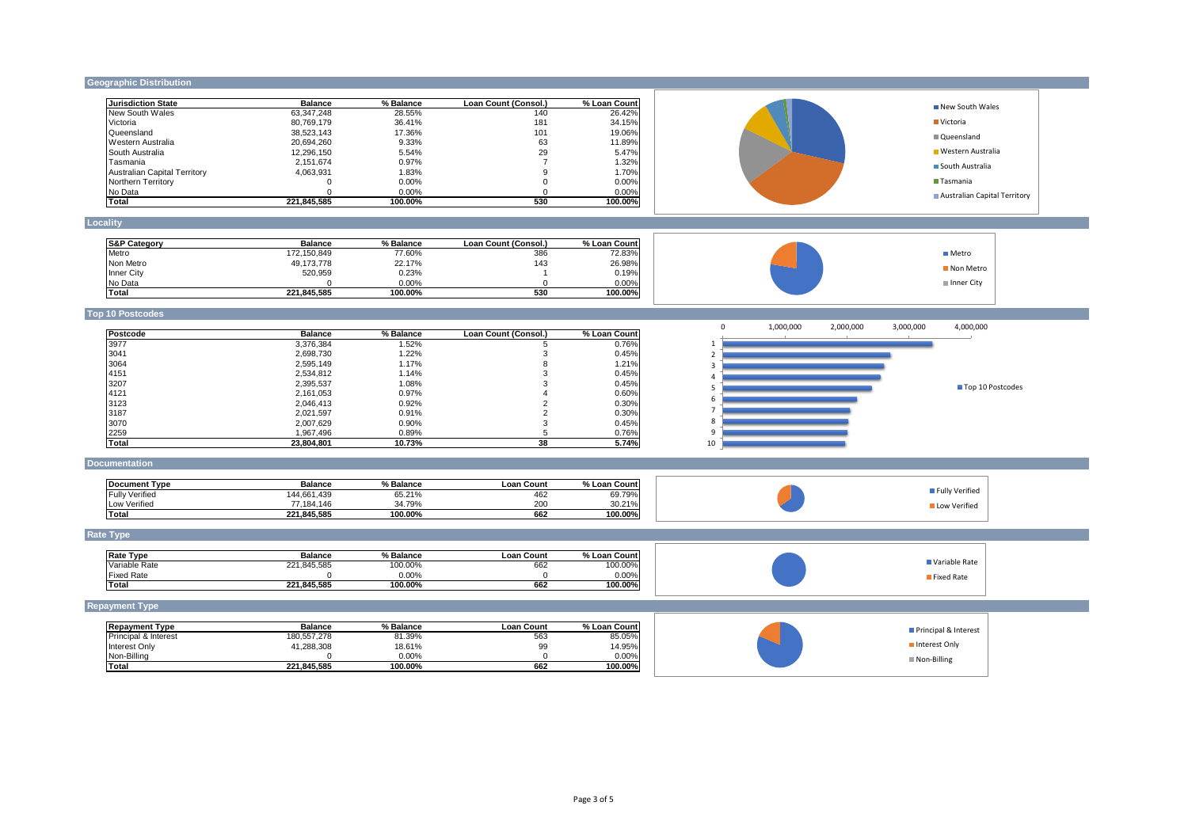## **Geographic Distribution**

| <b>Jurisdiction State</b>           | <b>Balance</b> | % Balance | Loan Count (Consol.) | % Loan Count | New South Wales                                              |  |
|-------------------------------------|----------------|-----------|----------------------|--------------|--------------------------------------------------------------|--|
| New South Wales                     | 63,347,248     | 28.55%    | 140                  | 26.42%       |                                                              |  |
| Victoria                            | 80,769,179     | 36.41%    | 181                  | 34.15%       | Victoria                                                     |  |
| Queensland                          | 38,523,143     | 17.36%    | 101                  | 19.06%       | Queensland                                                   |  |
| Western Australia                   | 20,694,260     | 9.33%     | 63                   | 11.89%       |                                                              |  |
| South Australia                     | 12,296,150     | 5.54%     | 29                   | 5.47%        | ■ Western Australia                                          |  |
| Tasmania                            | 2,151,674      | 0.97%     | $\overline{7}$       | 1.32%        | South Australia                                              |  |
| <b>Australian Capital Territory</b> | 4,063,931      | 1.83%     | 9                    | 1.70%        |                                                              |  |
| Northern Territory                  | $\Omega$       | 0.00%     | $\mathbf 0$          | 0.00%        | Tasmania                                                     |  |
| No Data                             | $\Omega$       | 0.00%     | $\mathbf 0$          | 0.00%        | Australian Capital Territory                                 |  |
| <b>Total</b>                        | 221,845,585    | 100.00%   | 530                  | 100.00%      |                                                              |  |
| Locality                            |                |           |                      |              |                                                              |  |
|                                     |                |           |                      |              |                                                              |  |
| <b>S&amp;P Category</b>             | <b>Balance</b> | % Balance | Loan Count (Consol.) | % Loan Count |                                                              |  |
| Metro                               | 172,150,849    | 77.60%    | 386                  | 72.83%       | <b>■</b> Metro                                               |  |
| Non Metro                           | 49,173,778     | 22.17%    | 143                  | 26.98%       | Non Metro                                                    |  |
| Inner City                          | 520,959        | 0.23%     | $\overline{1}$       | 0.19%        |                                                              |  |
| No Data                             | $\Omega$       | 0.00%     | $\mathbf 0$          | 0.00%        | Inner City                                                   |  |
| <b>Total</b>                        | 221,845,585    | 100.00%   | 530                  | 100.00%      |                                                              |  |
| <b>Top 10 Postcodes</b>             |                |           |                      |              |                                                              |  |
|                                     |                |           |                      |              | $\Omega$<br>1,000,000<br>2,000,000<br>3,000,000<br>4,000,000 |  |
| Postcode                            | <b>Balance</b> | % Balance | Loan Count (Consol.) | % Loan Count |                                                              |  |
| 3977                                | 3,376,384      | 1.52%     | 5                    | 0.76%        | -1                                                           |  |
| 3041                                | 2,698,730      | 1.22%     | 3                    | 0.45%        | $\overline{\phantom{a}}$                                     |  |
| 3064                                | 2,595,149      | 1.17%     | 8                    | 1.21%        | $\overline{3}$                                               |  |
| 4151                                | 2,534,812      | 1.14%     | 3                    | 0.45%        | $\overline{a}$                                               |  |
| 3207                                | 2,395,537      | 1.08%     | 3                    | 0.45%        | Top 10 Postcodes<br>5                                        |  |
| 4121                                | 2,161,053      | 0.97%     | $\overline{4}$       | 0.60%        |                                                              |  |
| 3123                                | 2,046,413      | 0.92%     | $\overline{2}$       | 0.30%        | 6                                                            |  |
| 3187                                | 2,021,597      | 0.91%     | $\overline{2}$       | 0.30%        |                                                              |  |
| 3070                                | 2,007,629      | 0.90%     | 3                    | 0.45%        | 8                                                            |  |
| 2259                                | 1,967,496      | 0.89%     | 5                    | 0.76%        | 9                                                            |  |
| Total                               | 23,804,801     | 10.73%    | 38                   | 5.74%        | 10                                                           |  |
| <b>Documentation</b>                |                |           |                      |              |                                                              |  |
|                                     |                |           |                      |              |                                                              |  |
| <b>Document Type</b>                | <b>Balance</b> | % Balance | <b>Loan Count</b>    | % Loan Count | Fully Verified                                               |  |
| <b>Fully Verified</b>               | 144.661.439    | 65.21%    | 462                  | 69.79%       |                                                              |  |
| Low Verified                        | 77,184,146     | 34.79%    | 200                  | 30.21%       | Low Verified                                                 |  |
| <b>Total</b>                        | 221,845,585    | 100.00%   | 662                  | 100.00%      |                                                              |  |
| <b>Rate Type</b>                    |                |           |                      |              |                                                              |  |
| <b>Rate Type</b>                    | <b>Balance</b> | % Balance | <b>Loan Count</b>    | % Loan Count |                                                              |  |
| Variable Rate                       | 221,845,585    | 100.00%   | 662                  | 100.00%      | Variable Rate                                                |  |
| <b>Fixed Rate</b>                   | $\Omega$       | 0.00%     | $\Omega$             | 0.00%        |                                                              |  |
| <b>Total</b>                        | 221,845,585    | 100.00%   | 662                  | 100.00%      | Fixed Rate                                                   |  |
|                                     |                |           |                      |              |                                                              |  |
| <b>Repayment Type</b>               |                |           |                      |              |                                                              |  |
| <b>Repayment Type</b>               | <b>Balance</b> | % Balance | <b>Loan Count</b>    | % Loan Count |                                                              |  |
| Principal & Interest                | 180,557,278    | 81.39%    | 563                  | 85.05%       | Principal & Interest                                         |  |
| Interest Only                       | 41,288,308     | 18.61%    | 99                   | 14.95%       | Interest Only                                                |  |
| Non-Billing                         | $\Omega$       | 0.00%     | $\mathbf 0$          | 0.00%        |                                                              |  |
| <b>Total</b>                        | 221,845,585    | 100.00%   | 662                  | 100.00%      | Non-Billing                                                  |  |
|                                     |                |           |                      |              |                                                              |  |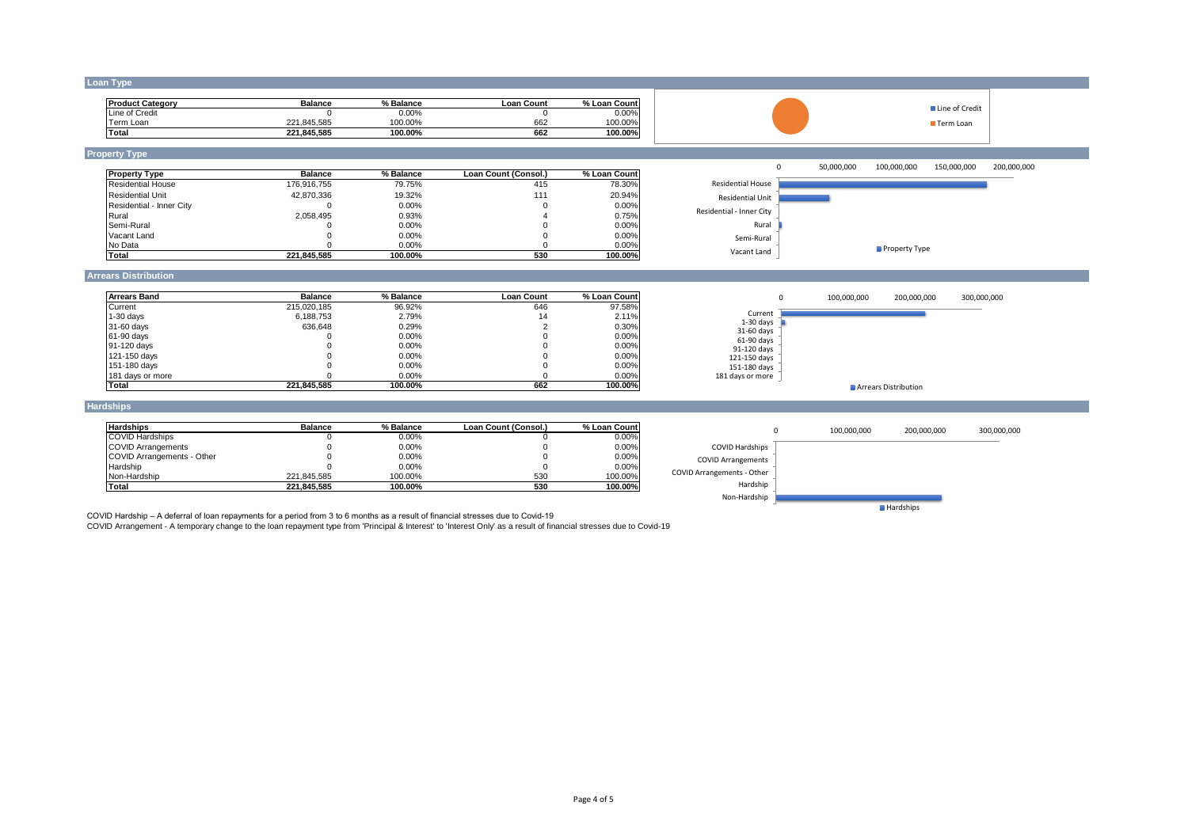### **Loan Type**

| <b>Product Category</b> | <b>Balance</b>  | % Balance | Loan Count | % Loan Count |
|-------------------------|-----------------|-----------|------------|--------------|
| Line of Credit          |                 | 0.00%     |            | $0.00\%$     |
| Ferm Loan               | .845.585<br>221 | 100.00%   | 662        | 100.00%      |
| Total                   | 221.845.585     | 100.00%   | 662        | 100.00%      |





# **Property Type**

| <b>Property Type</b>     | <b>Balance</b> | % Balance | Loan Count (Consol.) | % Loan Count |
|--------------------------|----------------|-----------|----------------------|--------------|
| <b>Residential House</b> | 176.916.755    | 79.75%    | 415                  | 78.30%       |
| <b>Residential Unit</b>  | 42.870.336     | 19.32%    | 111                  | 20.94%       |
| Residential - Inner City |                | $0.00\%$  |                      | 0.00%        |
| Rural                    | 2.058.495      | 0.93%     |                      | 0.75%        |
| Semi-Rural               |                | $0.00\%$  |                      | 0.00%        |
| Vacant Land              |                | $0.00\%$  |                      | 0.00%        |
| No Data                  |                | 0.00%     |                      | 0.00%        |
| Total                    | 221.845.585    | 100.00%   | 530                  | 100.00%      |



■ Line of Credit Term Loan

## **Arrears Distribution**

| <b>Arrears Band</b> | <b>Balance</b> | % Balance | <b>Loan Count</b> | % Loan Count |
|---------------------|----------------|-----------|-------------------|--------------|
| Current             | 215.020.185    | 96.92%    | 646               | 97.58%       |
| $1-30$ days         | 6.188.753      | 2.79%     | 14                | 2.11%        |
| 31-60 days          | 636.648        | 0.29%     |                   | 0.30%        |
| 61-90 days          |                | 0.00%     |                   | 0.00%        |
| 91-120 days         |                | 0.00%     |                   | 0.00%        |
| 121-150 days        |                | 0.00%     |                   | 0.00%        |
| 151-180 days        |                | 0.00%     |                   | 0.00%        |
| 181 days or more    |                | $0.00\%$  |                   | 0.00%        |
| <b>Total</b>        | 221.845.585    | 100.00%   | 662               | 100.00%      |



### **Hardships**

| <b>Hardships</b>           | <b>Balance</b> | % Balance | Loan Count (Consol.) | % Loan Count |
|----------------------------|----------------|-----------|----------------------|--------------|
| <b>COVID Hardships</b>     |                | $0.00\%$  |                      | 0.00%        |
| <b>COVID Arrangements</b>  |                | 0.00%     |                      | 0.00%        |
| COVID Arrangements - Other |                | 0.00%     |                      | 0.00%        |
| Hardship                   |                | 0.00%     |                      | 0.00%        |
| Non-Hardship               | 221.845.585    | 100.00%   | 530                  | 100.00%      |
| Total                      | 221.845.585    | 100.00%   | 530                  | 100.00%      |



COVID Hardship – A deferral of loan repayments for a period from 3 to 6 months as a result of financial stresses due to Covid-19<br>COVID Arrangement - A temporary change to the loan repayment type from 'Principal & Interest'